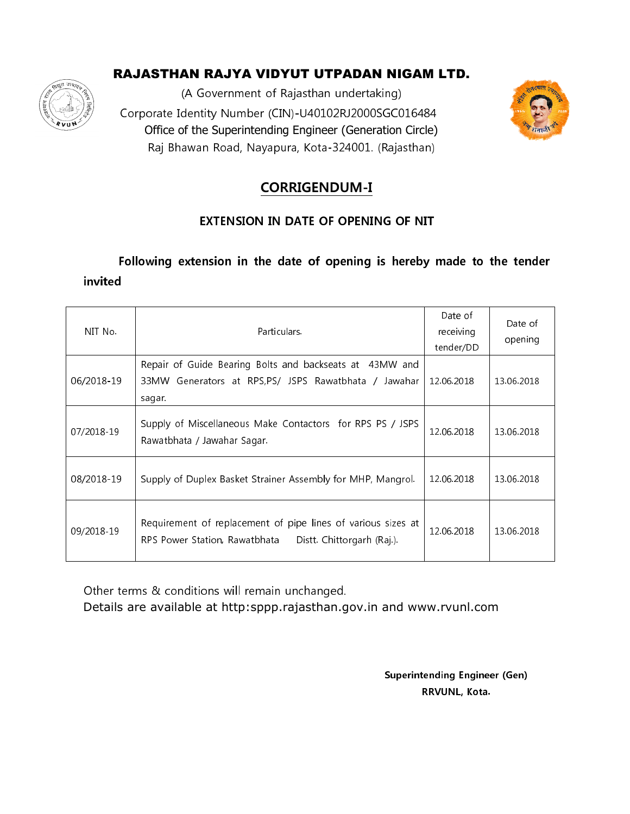# RAJASTHAN RAJYA VIDYUT UTPADAN NIGAM LTD.



(A Government of Rajasthan undertaking) Corporate Identity Number (CIN)-U40102RJ2000SGC016484 Office of the Superintending Engineer (Generation Circle) Raj Bhawan Road, Nayapura, Kota-324001. (Rajasthan)



# **CORRIGENDUM-I**

### **EXTENSION IN DATE OF OPENING OF NIT**

Following extension in the date of opening is hereby made to the tender invited

| NIT No.    | Particulars.                                                                                                                | Date of<br>receiving<br>tender/DD | Date of<br>opening |
|------------|-----------------------------------------------------------------------------------------------------------------------------|-----------------------------------|--------------------|
| 06/2018-19 | Repair of Guide Bearing Bolts and backseats at 43MW and<br>33MW Generators at RPS,PS/ JSPS Rawatbhata / Jawahar<br>sagar.   | 12.06.2018                        | 13.06.2018         |
| 07/2018-19 | Supply of Miscellaneous Make Contactors for RPS PS / JSPS<br>Rawatbhata / Jawahar Sagar.                                    | 12.06.2018                        | 13.06.2018         |
| 08/2018-19 | Supply of Duplex Basket Strainer Assembly for MHP, Mangrol.                                                                 | 12.06.2018                        | 13.06.2018         |
| 09/2018-19 | Requirement of replacement of pipe lines of various sizes at<br>Distt. Chittorgarh (Raj.).<br>RPS Power Station, Rawatbhata | 12.06.2018                        | 13.06.2018         |

Other terms & conditions will remain unchanged.

Details are available at http:sppp.rajasthan.gov.in and www.rvunl.com

**Superintending Engineer (Gen)** RRVUNL, Kota.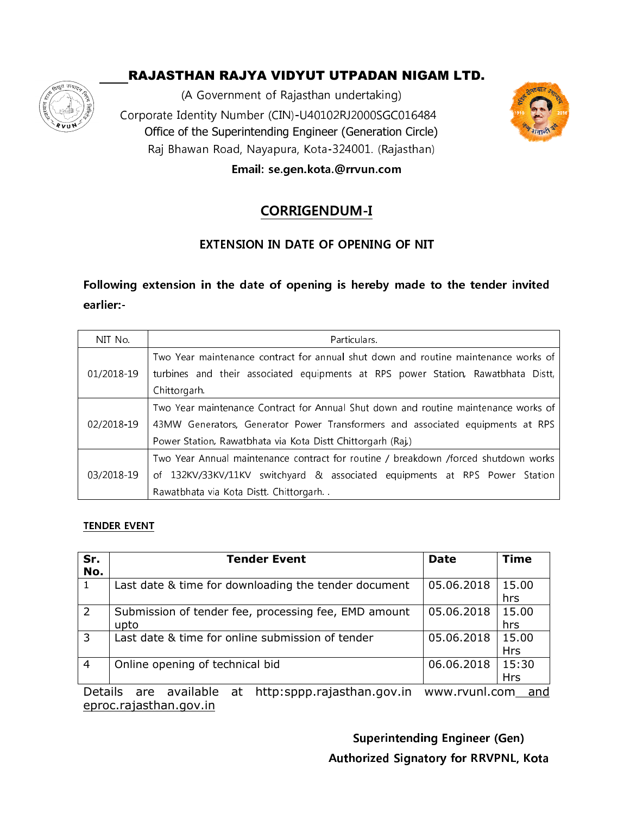# RAJASTHAN RAJYA VIDYUT UTPADAN NIGAM LTD.



(A Government of Rajasthan undertaking)  $\mathscr{Z}\!\!\!\!/$   $\qquad$  Corporate Identity Number (CIN)-U40102RJ2000SGC016484  $\qquad$ Office of the Superintending Engineer (Generation Circle) Raj Bhawan Road, Nayapura, Kota-324001. (Rajasthan) Email: se.gen.kota.@rrvun.com



# CORRIGENDUM-I

### EXTENSION IN DATE OF OPENING OF NIT

## Following extension in the date of opening is hereby made to the tender invited earlier:-

| NIT No.    | Particulars.                                                                        |  |  |  |  |
|------------|-------------------------------------------------------------------------------------|--|--|--|--|
|            | Two Year maintenance contract for annual shut down and routine maintenance works of |  |  |  |  |
| 01/2018-19 | turbines and their associated equipments at RPS power Station, Rawatbhata Distt,    |  |  |  |  |
|            | Chittorgarh.                                                                        |  |  |  |  |
|            | Two Year maintenance Contract for Annual Shut down and routine maintenance works of |  |  |  |  |
| 02/2018-19 | 43MW Generators, Generator Power Transformers and associated equipments at RPS      |  |  |  |  |
|            | Power Station, Rawatbhata via Kota Distt Chittorgarh (Raj.)                         |  |  |  |  |
|            | Two Year Annual maintenance contract for routine / breakdown /forced shutdown works |  |  |  |  |
| 03/2018-19 | of 132KV/33KV/11KV switchyard & associated equipments at RPS Power Station          |  |  |  |  |
|            | Rawatbhata via Kota Distt. Chittorgarh                                              |  |  |  |  |

#### **TENDER EVENT**

| Sr.<br>No.                                                                         | <b>Tender Event</b>                                          | <b>Date</b> | <b>Time</b>         |  |
|------------------------------------------------------------------------------------|--------------------------------------------------------------|-------------|---------------------|--|
| $\mathbf{1}$                                                                       | Last date & time for downloading the tender document         | 05.06.2018  | 15.00<br>hrs        |  |
| $\overline{2}$                                                                     | Submission of tender fee, processing fee, EMD amount<br>upto | 05.06.2018  | 15.00<br>hrs        |  |
| $\overline{3}$                                                                     | Last date & time for online submission of tender             | 05.06.2018  | 15.00<br><b>Hrs</b> |  |
| $\overline{4}$                                                                     | Online opening of technical bid                              | 06.06.2018  | 15:30<br>Hrs        |  |
| available at http:sppp.rajasthan.gov.in<br>Details.<br>are<br>www.ryunl.com<br>and |                                                              |             |                     |  |

tp.sppp.rajasthan.g eproc.rajasthan.gov.in www.rvunl.com\_\_<u>and</u>

> Superintending Engineer (Gen) Authorized Signatory for RRVPNL, Kota